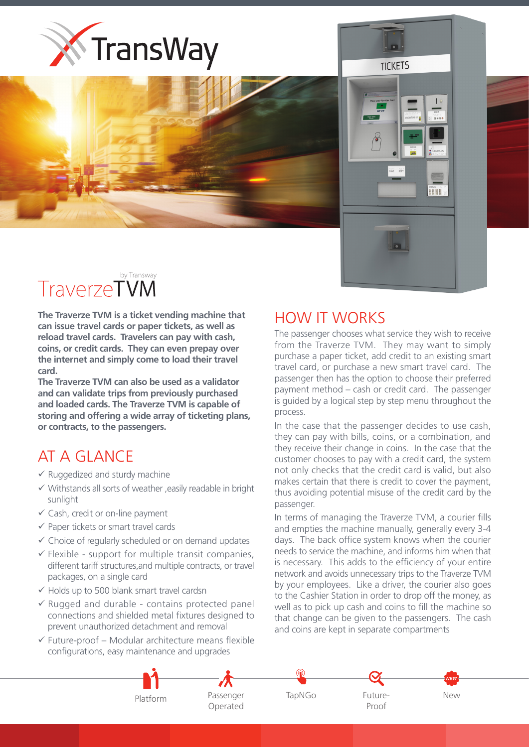



## by Transway **TraverzeTVM**

**The Traverze TVM is a ticket vending machine that** can issue travel cards or paper tickets, as well as reload travel cards. Travelers can pay with cash, coins. or credit cards. They can even prepay over the internet and simply come to load their travel  **.card**

The Traverze TVM can also be used as a validator and can validate trips from previously purchased and loaded cards. The Traverze TVM is capable of storing and offering a wide array of ticketing plans. or contracts, to the passengers.

## AT A GLANCE

- $\checkmark$  Ruggedized and sturdy machine
- $\checkmark$  Withstands all sorts of weather , easily readable in bright sunlight
- $\checkmark$  Cash, credit or on-line payment
- $\checkmark$  Paper tickets or smart travel cards
- $\checkmark$  Choice of regularly scheduled or on demand updates
- $\checkmark$  Flexible support for multiple transit companies. different tariff structures, and multiple contracts, or travel packages, on a single card
- $\checkmark$  Holds up to 500 blank smart travel cardsn
- $\checkmark$  Rugged and durable contains protected panel connections and shielded metal fixtures designed to prevent unauthorized detachment and removal
- $\checkmark$  Future-proof Modular architecture means flexible configurations, easy maintenance and upgrades

## **HOW IT WORKS**

The passenger chooses what service they wish to receive from the Traverze TVM. They may want to simply purchase a paper ticket, add credit to an existing smart travel card, or purchase a new smart travel card. The passenger then has the option to choose their preferred payment method – cash or credit card. The passenger is quided by a logical step by step menu throughout the .process

**TICKFTS** 

**BBBB** 

In the case that the passenger decides to use cash, they can pay with bills, coins, or a combination, and they receive their change in coins. In the case that the customer chooses to pay with a credit card, the system not only checks that the credit card is valid, but also makes certain that there is credit to cover the payment, thus avoiding potential misuse of the credit card by the .passenger

In terms of managing the Traverze TVM, a courier fills and empties the machine manually, generally every 3-4 days. The back office system knows when the courier needs to service the machine, and informs him when that is necessary. This adds to the efficiency of your entire network and avoids unnecessary trips to the Traverze TVM by your employees. Like a driver, the courier also goes to the Cashier Station in order to drop off the money, as well as to pick up cash and coins to fill the machine so that change can be given to the passengers. The cash and coins are kept in separate compartments



 Passenger Operated





New